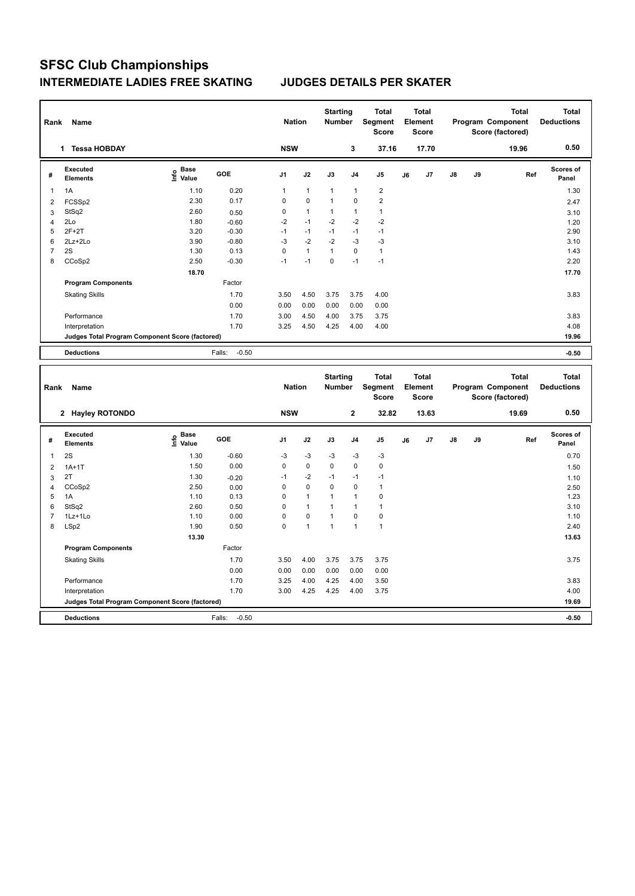## **SFSC Club Championships INTERMEDIATE LADIES FREE SKATING JUDGES DETAILS PER SKATER**

| Rank                                            | Name                        |                                  |                   | <b>Nation</b>  |                | <b>Starting</b><br><b>Number</b> |                | <b>Total</b><br>Segment<br><b>Score</b> | <b>Total</b><br>Element<br><b>Score</b> |       |               |    | <b>Total</b><br>Program Component<br>Score (factored) | <b>Total</b><br><b>Deductions</b> |
|-------------------------------------------------|-----------------------------|----------------------------------|-------------------|----------------|----------------|----------------------------------|----------------|-----------------------------------------|-----------------------------------------|-------|---------------|----|-------------------------------------------------------|-----------------------------------|
|                                                 | <b>Tessa HOBDAY</b><br>1    |                                  |                   | <b>NSW</b>     |                |                                  | 3              | 37.16                                   |                                         | 17.70 |               |    | 19.96                                                 | 0.50                              |
| #                                               | Executed<br><b>Elements</b> | <b>Base</b><br>e Base<br>E Value | GOE               | J <sub>1</sub> | J2             | J3                               | J <sub>4</sub> | J5                                      | J6                                      | J7    | $\mathsf{J}8$ | J9 | Ref                                                   | Scores of<br>Panel                |
| $\overline{1}$                                  | 1A                          | 1.10                             | 0.20              | 1              | $\mathbf{1}$   | $\overline{1}$                   | $\mathbf{1}$   | $\overline{2}$                          |                                         |       |               |    |                                                       | 1.30                              |
| $\overline{2}$                                  | FCSSp2                      | 2.30                             | 0.17              | 0              | $\mathbf 0$    | $\overline{1}$                   | $\mathbf 0$    | $\overline{2}$                          |                                         |       |               |    |                                                       | 2.47                              |
| 3                                               | StSq2                       | 2.60                             | 0.50              | 0              | $\overline{1}$ | $\overline{1}$                   | $\mathbf{1}$   | $\mathbf{1}$                            |                                         |       |               |    |                                                       | 3.10                              |
| 4                                               | 2Lo                         | 1.80                             | $-0.60$           | $-2$           | $-1$           | $-2$                             | $-2$           | $-2$                                    |                                         |       |               |    |                                                       | 1.20                              |
| 5                                               | $2F+2T$                     | 3.20                             | $-0.30$           | -1             | $-1$           | $-1$                             | $-1$           | $-1$                                    |                                         |       |               |    |                                                       | 2.90                              |
| 6                                               | $2Lz + 2Lo$                 | 3.90                             | $-0.80$           | $-3$           | $-2$           | $-2$                             | $-3$           | $-3$                                    |                                         |       |               |    |                                                       | 3.10                              |
| $\overline{7}$                                  | 2S                          | 1.30                             | 0.13              | 0              | $\overline{1}$ | $\mathbf{1}$                     | $\mathbf 0$    | $\mathbf{1}$                            |                                         |       |               |    |                                                       | 1.43                              |
| 8                                               | CCoSp2                      | 2.50                             | $-0.30$           | $-1$           | $-1$           | $\pmb{0}$                        | $-1$           | $-1$                                    |                                         |       |               |    |                                                       | 2.20                              |
|                                                 |                             | 18.70                            |                   |                |                |                                  |                |                                         |                                         |       |               |    |                                                       | 17.70                             |
|                                                 | <b>Program Components</b>   |                                  | Factor            |                |                |                                  |                |                                         |                                         |       |               |    |                                                       |                                   |
|                                                 | <b>Skating Skills</b>       |                                  | 1.70              | 3.50           | 4.50           | 3.75                             | 3.75           | 4.00                                    |                                         |       |               |    |                                                       | 3.83                              |
|                                                 |                             |                                  | 0.00              | 0.00           | 0.00           | 0.00                             | 0.00           | 0.00                                    |                                         |       |               |    |                                                       |                                   |
|                                                 | Performance                 |                                  | 1.70              | 3.00           | 4.50           | 4.00                             | 3.75           | 3.75                                    |                                         |       |               |    |                                                       | 3.83                              |
|                                                 | Interpretation              |                                  | 1.70              | 3.25           | 4.50           | 4.25                             | 4.00           | 4.00                                    |                                         |       |               |    |                                                       | 4.08                              |
| Judges Total Program Component Score (factored) |                             |                                  |                   |                |                |                                  |                |                                         |                                         |       |               |    |                                                       | 19.96                             |
|                                                 | <b>Deductions</b>           |                                  | Falls:<br>$-0.50$ |                |                |                                  |                |                                         |                                         |       |               |    |                                                       | $-0.50$                           |

| Rank           | Name                                            |                                             |                   | <b>Nation</b>  |                | <b>Starting</b><br><b>Number</b> |                | <b>Total</b><br>Segment<br>Score |    | <b>Total</b><br>Element<br><b>Score</b> |               |    | <b>Total</b><br>Program Component<br>Score (factored) | <b>Total</b><br><b>Deductions</b> |
|----------------|-------------------------------------------------|---------------------------------------------|-------------------|----------------|----------------|----------------------------------|----------------|----------------------------------|----|-----------------------------------------|---------------|----|-------------------------------------------------------|-----------------------------------|
|                | 2 Hayley ROTONDO                                |                                             |                   | <b>NSW</b>     |                |                                  | $\mathbf{2}$   | 32.82                            |    | 13.63                                   |               |    | 19.69                                                 | 0.50                              |
| #              | Executed<br><b>Elements</b>                     | <b>Base</b><br>e <sup>Base</sup><br>⊆ Value | GOE               | J <sub>1</sub> | J2             | J3                               | J <sub>4</sub> | J <sub>5</sub>                   | J6 | J7                                      | $\mathsf{J}8$ | J9 | Ref                                                   | <b>Scores of</b><br>Panel         |
| 1              | 2S                                              | 1.30                                        | $-0.60$           | $-3$           | $-3$           | $-3$                             | $-3$           | $-3$                             |    |                                         |               |    |                                                       | 0.70                              |
| $\overline{2}$ | $1A+1T$                                         | 1.50                                        | 0.00              | 0              | $\mathbf 0$    | 0                                | $\mathbf 0$    | 0                                |    |                                         |               |    |                                                       | 1.50                              |
| 3              | 2T                                              | 1.30                                        | $-0.20$           | $-1$           | $-2$           | $-1$                             | $-1$           | $-1$                             |    |                                         |               |    |                                                       | 1.10                              |
| 4              | CCoSp2                                          | 2.50                                        | 0.00              | 0              | $\mathbf 0$    | $\mathbf 0$                      | $\mathbf 0$    | $\mathbf{1}$                     |    |                                         |               |    |                                                       | 2.50                              |
| 5              | 1A                                              | 1.10                                        | 0.13              | 0              | $\overline{1}$ |                                  | $\overline{1}$ | 0                                |    |                                         |               |    |                                                       | 1.23                              |
| 6              | StSq2                                           | 2.60                                        | 0.50              | 0              | $\overline{1}$ |                                  | $\overline{1}$ | 1                                |    |                                         |               |    |                                                       | 3.10                              |
| $\overline{7}$ | 1Lz+1Lo                                         | 1.10                                        | 0.00              | 0              | $\mathbf 0$    | $\overline{1}$                   | $\mathbf 0$    | $\pmb{0}$                        |    |                                         |               |    |                                                       | 1.10                              |
| 8              | LSp2                                            | 1.90                                        | 0.50              | 0              | 1              | 1                                | $\overline{1}$ | $\overline{1}$                   |    |                                         |               |    |                                                       | 2.40                              |
|                |                                                 | 13.30                                       |                   |                |                |                                  |                |                                  |    |                                         |               |    |                                                       | 13.63                             |
|                | <b>Program Components</b>                       |                                             | Factor            |                |                |                                  |                |                                  |    |                                         |               |    |                                                       |                                   |
|                | <b>Skating Skills</b>                           |                                             | 1.70              | 3.50           | 4.00           | 3.75                             | 3.75           | 3.75                             |    |                                         |               |    |                                                       | 3.75                              |
|                |                                                 |                                             | 0.00              | 0.00           | 0.00           | 0.00                             | 0.00           | 0.00                             |    |                                         |               |    |                                                       |                                   |
|                | Performance                                     |                                             | 1.70              | 3.25           | 4.00           | 4.25                             | 4.00           | 3.50                             |    |                                         |               |    |                                                       | 3.83                              |
|                | Interpretation                                  |                                             | 1.70              | 3.00           | 4.25           | 4.25                             | 4.00           | 3.75                             |    |                                         |               |    |                                                       | 4.00                              |
|                | Judges Total Program Component Score (factored) |                                             |                   |                |                |                                  |                |                                  |    |                                         |               |    |                                                       | 19.69                             |
|                | <b>Deductions</b>                               |                                             | $-0.50$<br>Falls: |                |                |                                  |                |                                  |    |                                         |               |    |                                                       | $-0.50$                           |